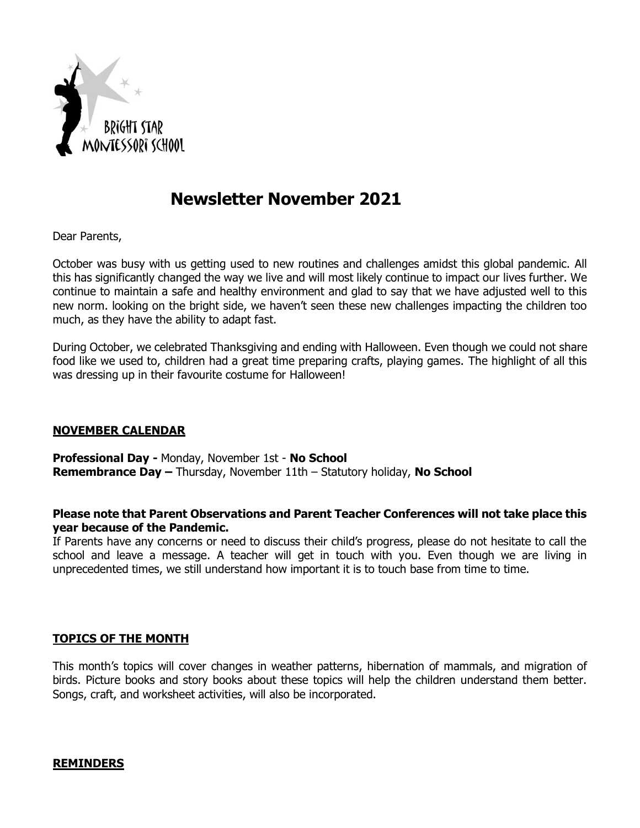

# **Newsletter November 2021**

Dear Parents,

October was busy with us getting used to new routines and challenges amidst this global pandemic. All this has significantly changed the way we live and will most likely continue to impact our lives further. We continue to maintain a safe and healthy environment and glad to say that we have adjusted well to this new norm. looking on the bright side, we haven't seen these new challenges impacting the children too much, as they have the ability to adapt fast.

During October, we celebrated Thanksgiving and ending with Halloween. Even though we could not share food like we used to, children had a great time preparing crafts, playing games. The highlight of all this was dressing up in their favourite costume for Halloween!

#### **NOVEMBER CALENDAR**

**Professional Day -** Monday, November 1st - **No School Remembrance Day –** Thursday, November 11th – Statutory holiday, **No School**

## **Please note that Parent Observations and Parent Teacher Conferences will not take place this year because of the Pandemic.**

If Parents have any concerns or need to discuss their child's progress, please do not hesitate to call the school and leave a message. A teacher will get in touch with you. Even though we are living in unprecedented times, we still understand how important it is to touch base from time to time.

#### **TOPICS OF THE MONTH**

This month's topics will cover changes in weather patterns, hibernation of mammals, and migration of birds. Picture books and story books about these topics will help the children understand them better. Songs, craft, and worksheet activities, will also be incorporated.

#### **REMINDERS**